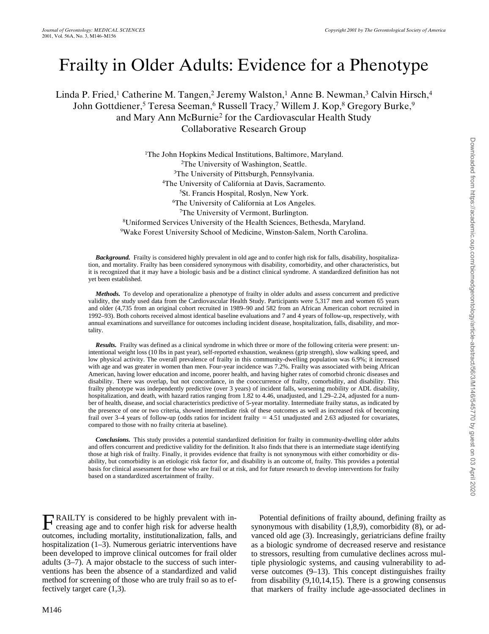# Frailty in Older Adults: Evidence for a Phenotype

Linda P. Fried,<sup>1</sup> Catherine M. Tangen,<sup>2</sup> Jeremy Walston,<sup>1</sup> Anne B. Newman,<sup>3</sup> Calvin Hirsch,<sup>4</sup> John Gottdiener,<sup>5</sup> Teresa Seeman,<sup>6</sup> Russell Tracy,<sup>7</sup> Willem J. Kop,<sup>8</sup> Gregory Burke,<sup>9</sup> and Mary Ann McBurnie2 for the Cardiovascular Health Study Collaborative Research Group

> <sup>1</sup>The John Hopkins Medical Institutions, Baltimore, Maryland. 2The University of Washington, Seattle. 3The University of Pittsburgh, Pennsylvania. 4The University of California at Davis, Sacramento. 5St. Francis Hospital, Roslyn, New York. 6The University of California at Los Angeles. 7The University of Vermont, Burlington. 8Uniformed Services University of the Health Sciences, Bethesda, Maryland. 9Wake Forest University School of Medicine, Winston-Salem, North Carolina.

*Background.* Frailty is considered highly prevalent in old age and to confer high risk for falls, disability, hospitalization, and mortality. Frailty has been considered synonymous with disability, comorbidity, and other characteristics, but it is recognized that it may have a biologic basis and be a distinct clinical syndrome. A standardized definition has not yet been established.

*Methods.* To develop and operationalize a phenotype of frailty in older adults and assess concurrent and predictive validity, the study used data from the Cardiovascular Health Study. Participants were 5,317 men and women 65 years and older (4,735 from an original cohort recruited in 1989–90 and 582 from an African American cohort recruited in 1992–93). Both cohorts received almost identical baseline evaluations and 7 and 4 years of follow-up, respectively, with annual examinations and surveillance for outcomes including incident disease, hospitalization, falls, disability, and mortality.

*Results.* Frailty was defined as a clinical syndrome in which three or more of the following criteria were present: unintentional weight loss (10 lbs in past year), self-reported exhaustion, weakness (grip strength), slow walking speed, and low physical activity. The overall prevalence of frailty in this community-dwelling population was 6.9%; it increased with age and was greater in women than men. Four-year incidence was 7.2%. Frailty was associated with being African American, having lower education and income, poorer health, and having higher rates of comorbid chronic diseases and disability. There was overlap, but not concordance, in the cooccurrence of frailty, comorbidity, and disability. This frailty phenotype was independently predictive (over 3 years) of incident falls, worsening mobility or ADL disability, hospitalization, and death, with hazard ratios ranging from 1.82 to 4.46, unadjusted, and 1.29–2.24, adjusted for a number of health, disease, and social characteristics predictive of 5-year mortality. Intermediate frailty status, as indicated by the presence of one or two criteria, showed intermediate risk of these outcomes as well as increased risk of becoming frail over 3–4 years of follow-up (odds ratios for incident frailty  $= 4.51$  unadjusted and 2.63 adjusted for covariates, compared to those with no frailty criteria at baseline).

*Conclusions.* This study provides a potential standardized definition for frailty in community-dwelling older adults and offers concurrent and predictive validity for the definition. It also finds that there is an intermediate stage identifying those at high risk of frailty. Finally, it provides evidence that frailty is not synonymous with either comorbidity or disability, but comorbidity is an etiologic risk factor for, and disability is an outcome of, frailty. This provides a potential basis for clinical assessment for those who are frail or at risk, and for future research to develop interventions for frailty based on a standardized ascertainment of frailty.

RAILTY is considered to be highly prevalent with increasing age and to confer high risk for adverse health **FRAILTY** is considered to be highly prevalent with in-<br>creasing age and to confer high risk for adverse health<br>outcomes, including mortality, institutionalization, falls, and hospitalization (1–3). Numerous geriatric interventions have been developed to improve clinical outcomes for frail older adults (3–7). A major obstacle to the success of such interventions has been the absence of a standardized and valid method for screening of those who are truly frail so as to effectively target care (1,3).

Potential definitions of frailty abound, defining frailty as synonymous with disability (1,8,9), comorbidity (8), or advanced old age (3). Increasingly, geriatricians define frailty as a biologic syndrome of decreased reserve and resistance to stressors, resulting from cumulative declines across multiple physiologic systems, and causing vulnerability to adverse outcomes (9–13). This concept distinguishes frailty from disability (9,10,14,15). There is a growing consensus that markers of frailty include age-associated declines in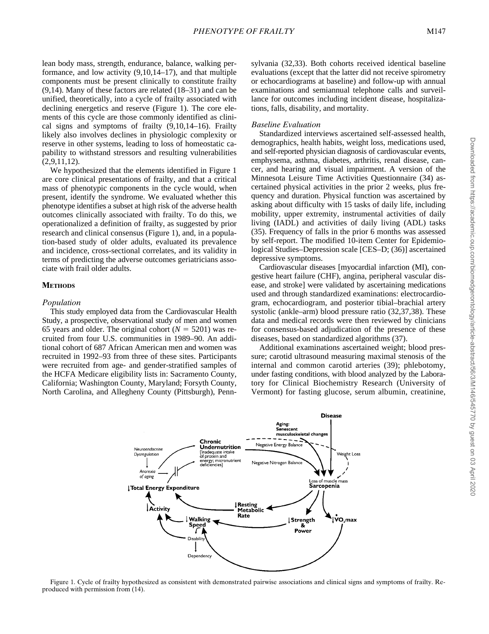lean body mass, strength, endurance, balance, walking performance, and low activity (9,10,14–17), and that multiple components must be present clinically to constitute frailty (9,14). Many of these factors are related (18–31) and can be unified, theoretically, into a cycle of frailty associated with declining energetics and reserve (Figure 1). The core elements of this cycle are those commonly identified as clinical signs and symptoms of frailty (9,10,14–16). Frailty likely also involves declines in physiologic complexity or reserve in other systems, leading to loss of homeostatic capability to withstand stressors and resulting vulnerabilities  $(2,9,11,12)$ .

We hypothesized that the elements identified in Figure 1 are core clinical presentations of frailty, and that a critical mass of phenotypic components in the cycle would, when present, identify the syndrome. We evaluated whether this phenotype identifies a subset at high risk of the adverse health outcomes clinically associated with frailty. To do this, we operationalized a definition of frailty, as suggested by prior research and clinical consensus (Figure 1), and, in a population-based study of older adults, evaluated its prevalence and incidence, cross-sectional correlates, and its validity in terms of predicting the adverse outcomes geriatricians associate with frail older adults.

## **METHODS**

### *Population*

This study employed data from the Cardiovascular Health Study, a prospective, observational study of men and women 65 years and older. The original cohort  $(N = 5201)$  was recruited from four U.S. communities in 1989–90. An additional cohort of 687 African American men and women was recruited in 1992–93 from three of these sites. Participants were recruited from age- and gender-stratified samples of the HCFA Medicare eligibility lists in: Sacramento County, California; Washington County, Maryland; Forsyth County, North Carolina, and Allegheny County (Pittsburgh), Pennsylvania (32,33). Both cohorts received identical baseline evaluations (except that the latter did not receive spirometry or echocardiograms at baseline) and follow-up with annual examinations and semiannual telephone calls and surveillance for outcomes including incident disease, hospitalizations, falls, disability, and mortality.

### *Baseline Evaluation*

Standardized interviews ascertained self-assessed health, demographics, health habits, weight loss, medications used, and self-reported physician diagnosis of cardiovascular events, emphysema, asthma, diabetes, arthritis, renal disease, cancer, and hearing and visual impairment. A version of the Minnesota Leisure Time Activities Questionnaire (34) ascertained physical activities in the prior 2 weeks, plus frequency and duration. Physical function was ascertained by asking about difficulty with 15 tasks of daily life, including mobility, upper extremity, instrumental activities of daily living (IADL) and activities of daily living (ADL) tasks (35). Frequency of falls in the prior 6 months was assessed by self-report. The modified 10-item Center for Epidemiological Studies–Depression scale [CES–D; (36)] ascertained depressive symptoms.

Cardiovascular diseases [myocardial infarction (MI), congestive heart failure (CHF), angina, peripheral vascular disease, and stroke] were validated by ascertaining medications used and through standardized examinations: electrocardiogram, echocardiogram, and posterior tibial–brachial artery systolic (ankle–arm) blood pressure ratio (32,37,38). These data and medical records were then reviewed by clinicians for consensus-based adjudication of the presence of these diseases, based on standardized algorithms (37).

Additional examinations ascertained weight; blood pressure; carotid ultrasound measuring maximal stenosis of the internal and common carotid arteries (39); phlebotomy, under fasting conditions, with blood analyzed by the Laboratory for Clinical Biochemistry Research (University of Vermont) for fasting glucose, serum albumin, creatinine,



Figure 1. Cycle of frailty hypothesized as consistent with demonstrated pairwise associations and clinical signs and symptoms of frailty. Reproduced with permission from (14).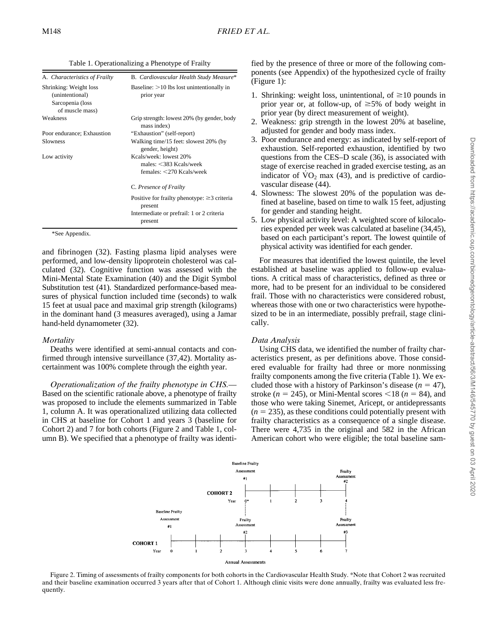| A. Characteristics of Frailty                                                    | B. Cardiovascular Health Study Measure*                                                        |
|----------------------------------------------------------------------------------|------------------------------------------------------------------------------------------------|
| Shrinking: Weight loss<br>(unintentional)<br>Sarcopenia (loss<br>of muscle mass) | Baseline: $>10$ lbs lost unintentionally in<br>prior year                                      |
| Weakness                                                                         | Grip strength: lowest 20% (by gender, body<br>mass index)                                      |
| Poor endurance; Exhaustion                                                       | "Exhaustion" (self-report)                                                                     |
| Slowness                                                                         | Walking time/15 feet: slowest 20% (by<br>gender, height)                                       |
| Low activity                                                                     | Kcals/week: lowest 20%<br>males: $\leq$ 383 Kcals/week<br>$f$ emales: $\langle 270$ Kcals/week |
|                                                                                  | C. Presence of Frailty                                                                         |
|                                                                                  | Positive for frailty phenotype: $\geq$ 3 criteria<br>present                                   |
|                                                                                  | Intermediate or prefrail: 1 or 2 criteria<br>present                                           |

Table 1. Operationalizing a Phenotype of Frailty

and fibrinogen (32). Fasting plasma lipid analyses were performed, and low-density lipoprotein cholesterol was calculated (32). Cognitive function was assessed with the Mini-Mental State Examination (40) and the Digit Symbol Substitution test (41). Standardized performance-based measures of physical function included time (seconds) to walk 15 feet at usual pace and maximal grip strength (kilograms) in the dominant hand (3 measures averaged), using a Jamar hand-held dynamometer (32).

## *Mortality*

Deaths were identified at semi-annual contacts and confirmed through intensive surveillance (37,42). Mortality ascertainment was 100% complete through the eighth year.

*Operationalization of the frailty phenotype in CHS.—* Based on the scientific rationale above, a phenotype of frailty was proposed to include the elements summarized in Table 1, column A. It was operationalized utilizing data collected in CHS at baseline for Cohort 1 and years 3 (baseline for Cohort 2) and 7 for both cohorts (Figure 2 and Table 1, column B). We specified that a phenotype of frailty was identified by the presence of three or more of the following components (see Appendix) of the hypothesized cycle of frailty (Figure 1):

- 1. Shrinking: weight loss, unintentional, of  $\geq 10$  pounds in prior year or, at follow-up, of  $\geq 5\%$  of body weight in prior year (by direct measurement of weight).
- 2. Weakness: grip strength in the lowest 20% at baseline, adjusted for gender and body mass index.
- 3. Poor endurance and energy: as indicated by self-report of exhaustion. Self-reported exhaustion, identified by two questions from the CES–D scale (36), is associated with stage of exercise reached in graded exercise testing, as an indicator of  $\text{VO}_2$  max (43), and is predictive of cardiovascular disease (44).
- 4. Slowness: The slowest 20% of the population was defined at baseline, based on time to walk 15 feet, adjusting for gender and standing height.
- 5. Low physical activity level: A weighted score of kilocalories expended per week was calculated at baseline (34,45), based on each participant's report. The lowest quintile of physical activity was identified for each gender.

For measures that identified the lowest quintile, the level established at baseline was applied to follow-up evaluations. A critical mass of characteristics, defined as three or more, had to be present for an individual to be considered frail. Those with no characteristics were considered robust, whereas those with one or two characteristics were hypothesized to be in an intermediate, possibly prefrail, stage clinically.

## *Data Analysis*

Using CHS data, we identified the number of frailty characteristics present, as per definitions above. Those considered evaluable for frailty had three or more nonmissing frailty components among the five criteria (Table 1). We excluded those with a history of Parkinson's disease  $(n = 47)$ , stroke ( $n = 245$ ), or Mini-Mental scores <18 ( $n = 84$ ), and those who were taking Sinemet, Aricept, or antidepressants  $(n = 235)$ , as these conditions could potentially present with frailty characteristics as a consequence of a single disease. There were 4,735 in the original and 582 in the African American cohort who were eligible; the total baseline sam-



Figure 2. Timing of assessments of frailty components for both cohorts in the Cardiovascular Health Study. \*Note that Cohort 2 was recruited and their baseline examination occurred 3 years after that of Cohort 1. Although clinic visits were done annually, frailty was evaluated less frequently.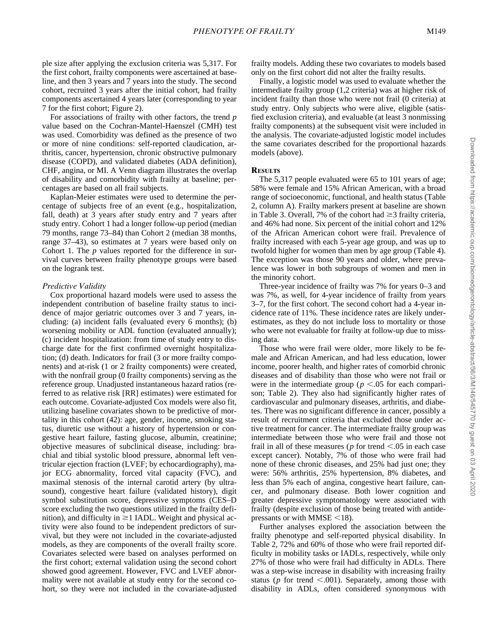ple size after applying the exclusion criteria was 5,317. For the first cohort, frailty components were ascertained at baseline, and then 3 years and 7 years into the study. The second cohort, recruited 3 years after the initial cohort, had frailty components ascertained 4 years later (corresponding to year 7 for the first cohort; Figure 2).

For associations of frailty with other factors, the trend *p* value based on the Cochran-Mantel-Haenszel (CMH) test was used. Comorbidity was defined as the presence of two or more of nine conditions: self-reported claudication, arthritis, cancer, hypertension, chronic obstructive pulmonary disease (COPD), and validated diabetes (ADA definition), CHF, angina, or MI. A Venn diagram illustrates the overlap of disability and comorbidity with frailty at baseline; percentages are based on all frail subjects.

Kaplan-Meier estimates were used to determine the percentage of subjects free of an event (e.g., hospitalization, fall, death) at 3 years after study entry and 7 years after study entry. Cohort 1 had a longer follow-up period (median 79 months, range 73–84) than Cohort 2 (median 38 months, range 37–43), so estimates at 7 years were based only on Cohort 1. The *p* values reported for the difference in survival curves between frailty phenotype groups were based on the logrank test.

### *Predictive Validity*

Cox proportional hazard models were used to assess the independent contribution of baseline frailty status to incidence of major geriatric outcomes over 3 and 7 years, including: (a) incident falls (evaluated every 6 months); (b) worsening mobility or ADL function (evaluated annually); (c) incident hospitalization: from time of study entry to discharge date for the first confirmed overnight hospitalization; (d) death. Indicators for frail (3 or more frailty components) and at-risk (1 or 2 frailty components) were created, with the nonfrail group (0 frailty components) serving as the reference group. Unadjusted instantaneous hazard ratios (referred to as relative risk [RR] estimates) were estimated for each outcome. Covariate-adjusted Cox models were also fit, utilizing baseline covariates shown to be predictive of mortality in this cohort (42): age, gender, income, smoking status, diuretic use without a history of hypertension or congestive heart failure, fasting glucose, albumin, creatinine; objective measures of subclinical disease, including: brachial and tibial systolic blood pressure, abnormal left ventricular ejection fraction (LVEF; by echocardiography), major ECG abnormality, forced vital capacity (FVC), and maximal stenosis of the internal carotid artery (by ultrasound), congestive heart failure (validated history), digit symbol substitution score, depressive symptoms (CES–D score excluding the two questions utilized in the frailty definition), and difficulty in  $\geq$ 1 IADL. Weight and physical activity were also found to be independent predictors of survival, but they were not included in the covariate-adjusted models, as they are components of the overall frailty score. Covariates selected were based on analyses performed on the first cohort; external validation using the second cohort showed good agreement. However, FVC and LVEF abnormality were not available at study entry for the second cohort, so they were not included in the covariate-adjusted frailty models. Adding these two covariates to models based only on the first cohort did not alter the frailty results.

Finally, a logistic model was used to evaluate whether the intermediate frailty group (1,2 criteria) was at higher risk of incident frailty than those who were not frail (0 criteria) at study entry. Only subjects who were alive, eligible (satisfied exclusion criteria), and evaluable (at least 3 nonmissing frailty components) at the subsequent visit were included in the analysis. The covariate-adjusted logistic model includes the same covariates described for the proportional hazards models (above).

### **RESULTS**

The 5,317 people evaluated were 65 to 101 years of age; 58% were female and 15% African American, with a broad range of socioeconomic, functional, and health status (Table 2, column A). Frailty markers present at baseline are shown in Table 3. Overall, 7% of the cohort had  $\geq$ 3 frailty criteria, and 46% had none. Six percent of the initial cohort and 12% of the African American cohort were frail. Prevalence of frailty increased with each 5-year age group, and was up to twofold higher for women than men by age group (Table 4). The exception was those 90 years and older, where prevalence was lower in both subgroups of women and men in the minority cohort.

Three-year incidence of frailty was 7% for years 0–3 and was 7%, as well, for 4-year incidence of frailty from years 3–7, for the first cohort. The second cohort had a 4-year incidence rate of 11%. These incidence rates are likely underestimates, as they do not include loss to mortality or those who were not evaluable for frailty at follow-up due to missing data.

Those who were frail were older, more likely to be female and African American, and had less education, lower income, poorer health, and higher rates of comorbid chronic diseases and of disability than those who were not frail or were in the intermediate group ( $p < .05$  for each comparison; Table 2). They also had significantly higher rates of cardiovascular and pulmonary diseases, arthritis, and diabetes. There was no significant difference in cancer, possibly a result of recruitment criteria that excluded those under active treatment for cancer. The intermediate frailty group was intermediate between those who were frail and those not frail in all of these measures ( $p$  for trend  $\leq$ .05 in each case except cancer). Notably, 7% of those who were frail had none of these chronic diseases, and 25% had just one; they were: 56% arthritis, 25% hypertension, 8% diabetes, and less than 5% each of angina, congestive heart failure, cancer, and pulmonary disease. Both lower cognition and greater depressive symptomatology were associated with frailty (despite exclusion of those being treated with antidepressants or with MMSE  $\leq$ 18).

Further analyses explored the association between the frailty phenotype and self-reported physical disability. In Table 2, 72% and 60% of those who were frail reported difficulty in mobility tasks or IADLs, respectively, while only 27% of those who were frail had difficulty in ADLs. There was a step-wise increase in disability with increasing frailty status ( $p$  for trend <.001). Separately, among those with disability in ADLs, often considered synonymous with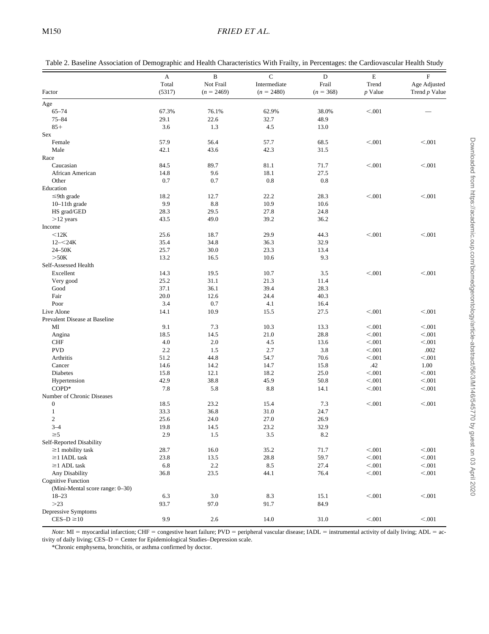# M150 *FRIED ET AL.*

|                                 | A      | $\, {\bf B}$ | C            | D           | E           | ${\rm F}$       |
|---------------------------------|--------|--------------|--------------|-------------|-------------|-----------------|
|                                 | Total  | Not Frail    | Intermediate | Frail       | Trend       | Age Adjusted    |
| Factor                          | (5317) | $(n = 2469)$ | $(n = 2480)$ | $(n = 368)$ | $p$ Value   | Trend $p$ Value |
| Age                             |        |              |              |             |             |                 |
| $65 - 74$                       | 67.3%  | 76.1%        | 62.9%        | 38.0%       | < 0.001     |                 |
| $75 - 84$                       | 29.1   | 22.6         | 32.7         | 48.9        |             |                 |
| $85+$                           | 3.6    | 1.3          | 4.5          | 13.0        |             |                 |
| Sex                             |        |              |              |             |             |                 |
| Female                          | 57.9   | 56.4         | 57.7         | 68.5        | < 0.001     | < 0.001         |
| Male                            | 42.1   | 43.6         | 42.3         | 31.5        |             |                 |
| Race                            |        |              |              |             |             |                 |
| Caucasian                       | 84.5   | 89.7         | 81.1         | 71.7        | < 0.001     | < 0.001         |
| African American                | 14.8   | 9.6          | 18.1         | 27.5        |             |                 |
| Other                           | 0.7    | 0.7          | 0.8          | 0.8         |             |                 |
| Education                       |        |              |              |             |             |                 |
| $\leq$ 9th grade                | 18.2   | 12.7         | 22.2         | 28.3        | < 0.001     | < 0.001         |
| 10-11th grade                   | 9.9    | 8.8          | 10.9         | 10.6        |             |                 |
|                                 |        | 29.5         | 27.8         | 24.8        |             |                 |
| HS grad/GED                     | 28.3   |              |              |             |             |                 |
| $>12$ years                     | 43.5   | 49.0         | 39.2         | 36.2        |             |                 |
| Income                          |        |              |              |             |             |                 |
| <12K                            | 25.6   | 18.7         | 29.9         | 44.3        | < .001      | < 0.001         |
| $12 - 24K$                      | 35.4   | 34.8         | 36.3         | 32.9        |             |                 |
| $24 - 50K$                      | 25.7   | 30.0         | 23.3         | 13.4        |             |                 |
| >50K                            | 13.2   | 16.5         | 10.6         | 9.3         |             |                 |
| Self-Assessed Health            |        |              |              |             |             |                 |
| Excellent                       | 14.3   | 19.5         | 10.7         | 3.5         | < 0.001     | < 0.001         |
| Very good                       | 25.2   | 31.1         | 21.3         | 11.4        |             |                 |
| Good                            | 37.1   | 36.1         | 39.4         | 28.3        |             |                 |
| Fair                            | 20.0   | 12.6         | 24.4         | 40.3        |             |                 |
| Poor                            | 3.4    | 0.7          | 4.1          | 16.4        |             |                 |
| Live Alone                      | 14.1   | 10.9         | 15.5         | 27.5        | < 0.001     | < 0.001         |
| Prevalent Disease at Baseline   |        |              |              |             |             |                 |
| MI                              | 9.1    | 7.3          | 10.3         | 13.3        | < 0.001     | < 0.001         |
| Angina                          | 18.5   | 14.5         | 21.0         | 28.8        | < 0.001     | < 0.001         |
| <b>CHF</b>                      | 4.0    | 2.0          | 4.5          | 13.6        | < .001      | < 0.001         |
| <b>PVD</b>                      | 2.2    | 1.5          | 2.7          | 3.8         | < 0.001     | .002            |
| Arthritis                       | 51.2   | 44.8         | 54.7         | 70.6        | < .001      | < .001          |
| Cancer                          | 14.6   | 14.2         | 14.7         | 15.8        | .42         | 1.00            |
| <b>Diabetes</b>                 | 15.8   | 12.1         | 18.2         | 25.0        | < .001      | < 0.001         |
| Hypertension                    | 42.9   | 38.8         | 45.9         | 50.8        | < .001      | $<.001$         |
| COPD*                           | 7.8    | 5.8          | 8.8          | 14.1        | < 0.001     | < .001          |
| Number of Chronic Diseases      |        |              |              |             |             |                 |
| $\boldsymbol{0}$                | 18.5   | 23.2         | 15.4         | 7.3         | < 0.001     | < 0.001         |
| $\mathbf{1}$                    | 33.3   | 36.8         | 31.0         | 24.7        |             |                 |
| $\overline{c}$                  | 25.6   | 24.0         | 27.0         | 26.9        |             |                 |
| $3 - 4$                         | 19.8   | 14.5         | 23.2         | 32.9        |             |                 |
| $\geq 5$                        | 2.9    | 1.5          | 3.5          | $8.2\,$     |             |                 |
| Self-Reported Disability        |        |              |              |             |             |                 |
| $\geq$ 1 mobility task          | 28.7   | 16.0         | 35.2         | 71.7        | < .001      | $<.001$         |
| $\geq$ 1 IADL task              | 23.8   | 13.5         | 28.8         | 59.7        | $< 0.01$    | $<.001$         |
| $\geq$ 1 ADL task               | 6.8    | $2.2\,$      | 8.5          | 27.4        | $<.001$     | < .001          |
|                                 |        |              |              |             |             |                 |
| Any Disability                  | 36.8   | 23.5         | 44.1         | 76.4        | $< 0.01$    | < .001          |
| <b>Cognitive Function</b>       |        |              |              |             |             |                 |
| (Mini-Mental score range: 0-30) |        |              |              |             |             |                 |
| $18 - 23$                       | 6.3    | 3.0          | 8.3          | 15.1        | $<\!\!.001$ | < .001          |
| >23                             | 93.7   | 97.0         | 91.7         | 84.9        |             |                 |
| Depressive Symptoms             |        |              |              |             |             |                 |
| $CES-D \geq 10$                 | 9.9    | 2.6          | 14.0         | 31.0        | $< 001$     | $<.001$         |

Table 2. Baseline Association of Demographic and Health Characteristics With Frailty, in Percentages: the Cardiovascular Health Study

*Note*:  $MI = myocardial infarction$ ;  $CHF = \text{congestive heart failure}$ ;  $PVD = \text{peripheral vascular disease}$ ;  $IADL = \text{instrumental activity of daily living}$ ;  $ADL = \text{ac-}$ tivity of daily living;  $CES-D = Center$  for Epidemiological Studies–Depression scale.

\*Chronic emphysema, bronchitis, or asthma confirmed by doctor.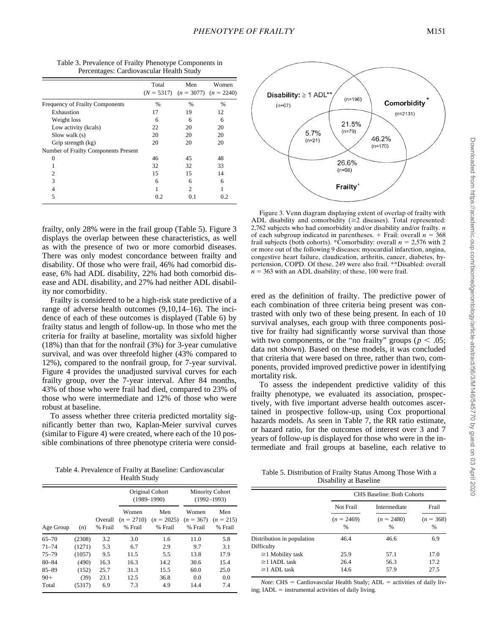| Total | Men            | Women                                  |
|-------|----------------|----------------------------------------|
| %     | %              | %                                      |
| 17    | 19             | 12                                     |
| 6     | 6              | 6                                      |
| 22    | 20             | 20                                     |
| 20    | 20             | 20                                     |
| 20    | 20             | 20                                     |
|       |                |                                        |
| 46    | 45             | 48                                     |
| 32    | 32             | 33                                     |
| 15    | 15             | 14                                     |
| 6     | 6              | 6                                      |
|       | $\mathfrak{D}$ |                                        |
| 0.2   | 0.1            | 0.2                                    |
|       |                | $(N = 5317)$ $(n = 3077)$ $(n = 2240)$ |

Table 3. Prevalence of Frailty Phenotype Components in Percentages: Cardiovascular Health Study

frailty, only 28% were in the frail group (Table 5). Figure 3 displays the overlap between these characteristics, as well as with the presence of two or more comorbid diseases. There was only modest concordance between frailty and disability. Of those who were frail, 46% had comorbid disease, 6% had ADL disability, 22% had both comorbid disease and ADL disability, and 27% had neither ADL disability nor comorbidity.

Frailty is considered to be a high-risk state predictive of a range of adverse health outcomes (9,10,14–16). The incidence of each of these outcomes is displayed (Table 6) by frailty status and length of follow-up. In those who met the criteria for frailty at baseline, mortality was sixfold higher (18%) than that for the nonfrail (3%) for 3-year cumulative survival, and was over threefold higher (43% compared to 12%), compared to the nonfrail group, for 7-year survival. Figure 4 provides the unadjusted survival curves for each frailty group, over the 7-year interval. After 84 months, 43% of those who were frail had died, compared to 23% of those who were intermediate and 12% of those who were robust at baseline.

To assess whether three criteria predicted mortality significantly better than two, Kaplan-Meier survival curves (similar to Figure 4) were created, where each of the 10 possible combinations of three phenotype criteria were consid-

Table 4. Prevalence of Frailty at Baseline: Cardiovascular Health Study

|           |        |                    |                                  | Original Cohort<br>$(1989 - 1990)$ | <b>Minority Cohort</b><br>$(1992 - 1993)$ |                               |  |
|-----------|--------|--------------------|----------------------------------|------------------------------------|-------------------------------------------|-------------------------------|--|
| Age Group | (n)    | Overall<br>% Frail | Women<br>$(n = 2710)$<br>% Frail | Men<br>$(n = 2025)$<br>% Frail     | Women<br>$(n = 367)$<br>% Frail           | Men<br>$(n = 215)$<br>% Frail |  |
| $65 - 70$ | (2308) | 3.2                | 3.0                              | 1.6                                | 11.0                                      | 5.8                           |  |
| $71 - 74$ | (1271) | 5.3                | 6.7                              | 2.9                                | 9.7                                       | 3.1                           |  |
| $75 - 79$ | (1057) | 9.5                | 11.5                             | 5.5                                | 13.8                                      | 17.9                          |  |
| $80 - 84$ | (490)  | 16.3               | 16.3                             | 14.2                               | 30.6                                      | 15.4                          |  |
| $85 - 89$ | (152)  | 25.7               | 31.3                             | 15.5                               | 60.0                                      | 25.0                          |  |
| $90+$     | (39)   | 23.1               | 12.5                             | 36.8                               | 0.0                                       | 0.0                           |  |
| Total     | (5317) | 6.9                | 7.3                              | 4.9                                | 14.4                                      | 7.4                           |  |



Figure 3. Venn diagram displaying extent of overlap of frailty with ADL disability and comorbidity ( $\geq$ 2 diseases). Total represented: 2,762 subjects who had comorbidity and/or disability and/or frailty. *n* of each subgroup indicated in parentheses.  $+$  Frail: overall  $n = 368$ frail subjects (both cohorts). \*Comorbidity: overall  $n = 2,576$  with 2 or more out of the following 9 diseases: myocardial infarction, angina, congestive heart failure, claudication, arthritis, cancer, diabetes, hypertension, COPD. Of these, 249 were also frail. \*\*Disabled: overall  $n = 363$  with an ADL disability; of these, 100 were frail.

ered as the definition of frailty. The predictive power of each combination of three criteria being present was contrasted with only two of these being present. In each of 10 survival analyses, each group with three components positive for frailty had significantly worse survival than those with two components, or the "no frailty" groups ( $p < .05$ ; data not shown). Based on these models, it was concluded that criteria that were based on three, rather than two, components, provided improved predictive power in identifying mortality risk.

To assess the independent predictive validity of this frailty phenotype, we evaluated its association, prospectively, with five important adverse health outcomes ascertained in prospective follow-up, using Cox proportional hazards models. As seen in Table 7, the RR ratio estimate, or hazard ratio, for the outcomes of interest over 3 and 7 years of follow-up is displayed for those who were in the intermediate and frail groups at baseline, each relative to

Table 5. Distribution of Frailty Status Among Those With a Disability at Baseline

|                                          | <b>CHS Baseline: Both Cohorts</b> |                               |                     |  |  |
|------------------------------------------|-----------------------------------|-------------------------------|---------------------|--|--|
|                                          | Not Frail                         | Intermediate                  | Frail               |  |  |
|                                          | $(n = 2469)$<br>$\frac{0}{0}$     | $(n = 2480)$<br>$\frac{0}{0}$ | $(n = 368)$<br>$\%$ |  |  |
| Distribution in population<br>Difficulty | 46.4                              | 46.6                          | 6.9                 |  |  |
| $\geq$ 1 Mobility task                   | 25.9                              | 57.1                          | 17.0                |  |  |
| $\geq$ 1 IADL task                       | 26.4                              | 56.3                          | 17.2                |  |  |
| $\geq$ 1 ADL task                        | 14.6                              | 57.9                          | 27.5                |  |  |

*Note*: CHS = Cardiovascular Health Study;  $ADL =$  activities of daily living;  $IADL =$  instrumental activities of daily living.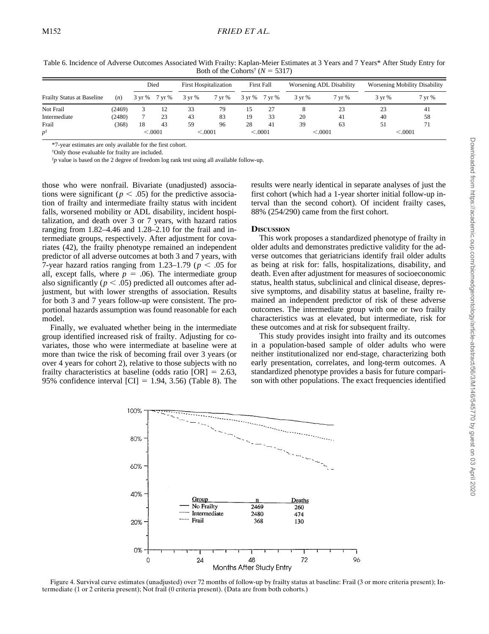|                            |        |    |               |        |                              |    | .                 |                  |                          |                  |                                      |
|----------------------------|--------|----|---------------|--------|------------------------------|----|-------------------|------------------|--------------------------|------------------|--------------------------------------|
|                            |        |    | Died          |        | <b>First Hospitalization</b> |    | <b>First Fall</b> |                  | Worsening ADL Disability |                  | <b>Worsening Mobility Disability</b> |
| Frailty Status at Baseline | (n)    |    | 3 yr % 7 yr % | 3 yr % | 7 yr %                       |    | 3 yr % 7 yr %     | $3 \text{ yr} %$ | 7 vr %                   | $3 \text{ yr} %$ | 7 yr %                               |
| Not Frail                  | (2469) |    | 12            | 33     | 79                           | 15 | 27                |                  | 23                       |                  | 41                                   |
| Intermediate               | (2480) |    | 23            | 43     | 83                           | 19 | 33                | 20               | 41                       | 40               | 58                                   |
| Frail                      | (368)  | 18 | 43            | 59     | 96                           | 28 | 41                | 39               | 63                       | 51               |                                      |
| $p^{\ddagger}$             |        |    | < .0001       |        | < 0.001                      |    | < 0.001           |                  | < 0.0001                 |                  | < .0001                              |

Table 6. Incidence of Adverse Outcomes Associated With Frailty: Kaplan-Meier Estimates at 3 Years and 7 Years\* After Study Entry for Both of the Cohorts<sup>†</sup>  $(N = 5317)$ 

\*7-year estimates are only available for the first cohort.

†Only those evaluable for frailty are included.

‡*p* value is based on the 2 degree of freedom log rank test using all available follow-up.

those who were nonfrail. Bivariate (unadjusted) associations were significant ( $p < .05$ ) for the predictive association of frailty and intermediate frailty status with incident falls, worsened mobility or ADL disability, incident hospitalization, and death over 3 or 7 years, with hazard ratios ranging from 1.82–4.46 and 1.28–2.10 for the frail and intermediate groups, respectively. After adjustment for covariates (42), the frailty phenotype remained an independent predictor of all adverse outcomes at both 3 and 7 years, with 7-year hazard ratios ranging from 1.23–1.79 ( $p < .05$  for all, except falls, where  $p = .06$ ). The intermediate group also significantly ( $p < .05$ ) predicted all outcomes after adjustment, but with lower strengths of association. Results for both 3 and 7 years follow-up were consistent. The proportional hazards assumption was found reasonable for each model.

Finally, we evaluated whether being in the intermediate group identified increased risk of frailty. Adjusting for covariates, those who were intermediate at baseline were at more than twice the risk of becoming frail over 3 years (or over 4 years for cohort 2), relative to those subjects with no frailty characteristics at baseline (odds ratio  $[OR] = 2.63$ , 95% confidence interval  $\text{[CI]} = 1.94, 3.56$ ) (Table 8). The results were nearly identical in separate analyses of just the first cohort (which had a 1-year shorter initial follow-up interval than the second cohort). Of incident frailty cases, 88% (254/290) came from the first cohort.

## **DISCUSSION**

This work proposes a standardized phenotype of frailty in older adults and demonstrates predictive validity for the adverse outcomes that geriatricians identify frail older adults as being at risk for: falls, hospitalizations, disability, and death. Even after adjustment for measures of socioeconomic status, health status, subclinical and clinical disease, depressive symptoms, and disability status at baseline, frailty remained an independent predictor of risk of these adverse outcomes. The intermediate group with one or two frailty characteristics was at elevated, but intermediate, risk for these outcomes and at risk for subsequent frailty.

This study provides insight into frailty and its outcomes in a population-based sample of older adults who were neither institutionalized nor end-stage, characterizing both early presentation, correlates, and long-term outcomes. A standardized phenotype provides a basis for future comparison with other populations. The exact frequencies identified



Figure 4. Survival curve estimates (unadjusted) over 72 months of follow-up by frailty status at baseline: Frail (3 or more criteria present); Intermediate (1 or 2 criteria present); Not frail (0 criteria present). (Data are from both cohorts.)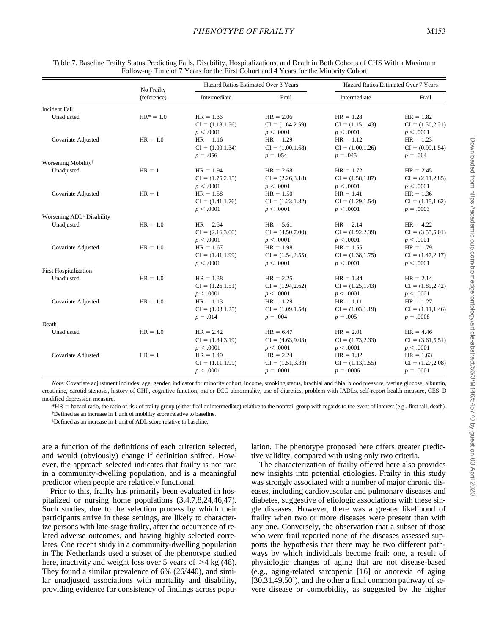|                                       | No Frailty   |                                                  | Hazard Ratios Estimated Over 3 Years              | Hazard Ratios Estimated Over 7 Years              |                                                   |  |
|---------------------------------------|--------------|--------------------------------------------------|---------------------------------------------------|---------------------------------------------------|---------------------------------------------------|--|
|                                       | (reference)  | Intermediate                                     | Frail                                             | Intermediate                                      | Frail                                             |  |
| <b>Incident Fall</b>                  |              |                                                  |                                                   |                                                   |                                                   |  |
| Unadjusted                            | $HR^* = 1.0$ | $HR = 1.36$<br>$CI = (1.18, 1.56)$<br>p < .0001  | $HR = 2.06$<br>$CI = (1.64, 2.59)$<br>p < .0001   | $HR = 1.28$<br>$CI = (1.15, 1.43)$<br>p < .0001   | $HR = 1.82$<br>$CI = (1.50, 2.21)$<br>p < .0001   |  |
| Covariate Adjusted                    | $HR = 1.0$   | $HR = 1.16$<br>$CI = (1.00, 1.34)$<br>$p = .056$ | $HR = 1.29$<br>$CI = (1.00, 1.68)$<br>$p = .054$  | $HR = 1.12$<br>$CI = (1.00, 1.26)$<br>$p = .045$  | $HR = 1.23$<br>$CI = (0.99, 1.54)$<br>$p = .064$  |  |
| Worsening Mobility <sup>†</sup>       |              |                                                  |                                                   |                                                   |                                                   |  |
| Unadjusted                            | $HR = 1$     | $HR = 1.94$<br>$CI = (1.75, 2.15)$<br>p < .0001  | $HR = 2.68$<br>$CI = (2.26, 3.18)$<br>p < .0001   | $HR = 1.72$<br>$CI = (1.58, 1.87)$<br>p < .0001   | $HR = 2.45$<br>$CI = (2.11, 2.85)$<br>p < .0001   |  |
| Covariate Adjusted                    | $HR = 1$     | $HR = 1.58$<br>$CI = (1.41, 1.76)$<br>p < .0001  | $HR = 1.50$<br>$CI = (1.23, 1.82)$<br>p < .0001   | $HR = 1.41$<br>$CI = (1.29, 1.54)$<br>p < .0001   | $HR = 1.36$<br>$CI = (1.15, 1.62)$<br>$p = .0003$ |  |
| Worsening ADL <sup>‡</sup> Disability |              |                                                  |                                                   |                                                   |                                                   |  |
| Unadjusted                            | $HR = 1.0$   | $HR = 2.54$<br>$CI = (2.16, 3.00)$<br>p < .0001  | $HR = 5.61$<br>$CI = (4.50, 7.00)$<br>p < .0001   | $HR = 2.14$<br>$CI = (1.92, 2.39)$<br>p < .0001   | $HR = 4.22$<br>$CI = (3.55, 5.01)$<br>p < .0001   |  |
| Covariate Adjusted                    | $HR = 1.0$   | $HR = 1.67$<br>$CI = (1.41, 1.99)$<br>p < .0001  | $HR = 1.98$<br>$CI = (1.54, 2.55)$<br>p < .0001   | $HR = 1.55$<br>$CI = (1.38, 1.75)$<br>p < .0001   | $HR = 1.79$<br>$CI = (1.47, 2.17)$<br>p < .0001   |  |
| <b>First Hospitalization</b>          |              |                                                  |                                                   |                                                   |                                                   |  |
| Unadjusted                            | $HR = 1.0$   | $HR = 1.38$<br>$CI = (1.26, 1.51)$<br>p < .0001  | $HR = 2.25$<br>$CI = (1.94, 2.62)$<br>p < .0001   | $HR = 1.34$<br>$CI = (1.25, 1.43)$<br>p < .0001   | $HR = 2.14$<br>$CI = (1.89, 2.42)$<br>p < .0001   |  |
| Covariate Adjusted                    | $HR = 1.0$   | $HR = 1.13$<br>$CI = (1.03, 1.25)$<br>$p = .014$ | $HR = 1.29$<br>$CI = (1.09, 1.54)$<br>$p = .004$  | $HR = 1.11$<br>$CI = (1.03, 1.19)$<br>$p = .005$  | $HR = 1.27$<br>$CI = (1.11, 1.46)$<br>$p=.0008$   |  |
| Death                                 |              |                                                  |                                                   |                                                   |                                                   |  |
| Unadjusted                            | $HR = 1.0$   | $HR = 2.42$<br>$CI = (1.84, 3.19)$<br>p < .0001  | $HR = 6.47$<br>$CI = (4.63, 9.03)$<br>p < .0001   | $HR = 2.01$<br>$CI = (1.73, 2.33)$<br>p < .0001   | $HR = 4.46$<br>$CI = (3.61, 5.51)$<br>p < .0001   |  |
| Covariate Adjusted                    | $HR = 1$     | $HR = 1.49$<br>$CI = (1.11, 1.99)$<br>p < .0001  | $HR = 2.24$<br>$CI = (1.51, 3.33)$<br>$p = .0001$ | $HR = 1.32$<br>$CI = (1.13, 1.55)$<br>$p = .0006$ | $HR = 1.63$<br>$CI = (1.27, 2.08)$<br>$p = .0001$ |  |

Table 7. Baseline Frailty Status Predicting Falls, Disability, Hospitalizations, and Death in Both Cohorts of CHS With a Maximum Follow-up Time of 7 Years for the First Cohort and 4 Years for the Minority Cohort

*Note*: Covariate adjustment includes: age, gender, indicator for minority cohort, income, smoking status, brachial and tibial blood pressure, fasting glucose, albumin, creatinine, carotid stenosis, history of CHF, cognitive function, major ECG abnormality, use of diuretics, problem with IADLs, self-report health measure, CES–D modified depression measure.

\*HR 5 hazard ratio, the ratio of risk of frailty group (either frail or intermediate) relative to the nonfrail group with regards to the event of interest (e.g., first fall, death). †Defined as an increase in 1 unit of mobility score relative to baseline.

‡Defined as an increase in 1 unit of ADL score relative to baseline.

are a function of the definitions of each criterion selected, and would (obviously) change if definition shifted. However, the approach selected indicates that frailty is not rare in a community-dwelling population, and is a meaningful predictor when people are relatively functional.

Prior to this, frailty has primarily been evaluated in hospitalized or nursing home populations (3,4,7,8,24,46,47). Such studies, due to the selection process by which their participants arrive in these settings, are likely to characterize persons with late-stage frailty, after the occurrence of related adverse outcomes, and having highly selected correlates. One recent study in a community-dwelling population in The Netherlands used a subset of the phenotype studied here, inactivity and weight loss over 5 years of  $>4$  kg (48). They found a similar prevalence of 6% (26/440), and similar unadjusted associations with mortality and disability, providing evidence for consistency of findings across population. The phenotype proposed here offers greater predictive validity, compared with using only two criteria.

The characterization of frailty offered here also provides new insights into potential etiologies. Frailty in this study was strongly associated with a number of major chronic diseases, including cardiovascular and pulmonary diseases and diabetes, suggestive of etiologic associations with these single diseases. However, there was a greater likelihood of frailty when two or more diseases were present than with any one. Conversely, the observation that a subset of those who were frail reported none of the diseases assessed supports the hypothesis that there may be two different pathways by which individuals become frail: one, a result of physiologic changes of aging that are not disease-based (e.g., aging-related sarcopenia [16] or anorexia of aging [30,31,49,50]), and the other a final common pathway of severe disease or comorbidity, as suggested by the higher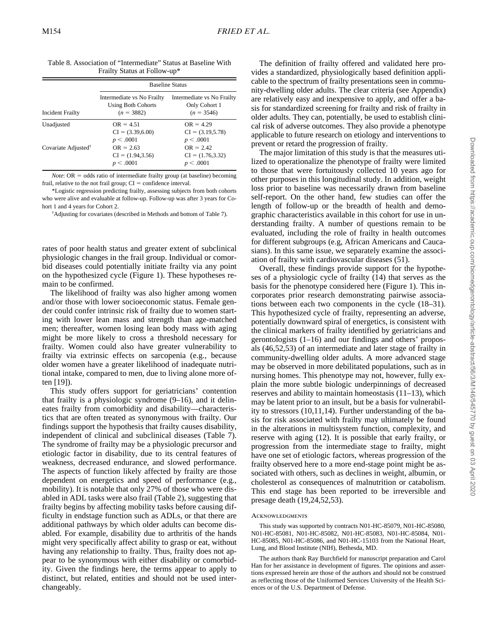|                                               | <b>Baseline Status</b>                                                                             |                                                                                                    |  |  |  |  |
|-----------------------------------------------|----------------------------------------------------------------------------------------------------|----------------------------------------------------------------------------------------------------|--|--|--|--|
| <b>Incident Frailty</b>                       | Intermediate vs No Frailty<br><b>Using Both Cohorts</b><br>$(n = 3882)$                            | Intermediate vs No Frailty<br>Only Cohort 1<br>$(n = 3546)$                                        |  |  |  |  |
| Unadjusted<br>Covariate Adjusted <sup>†</sup> | $OR = 4.51$<br>$CI = (3.39, 6.00)$<br>p < .0001<br>$OR = 2.63$<br>$CI = (1.94, 3.56)$<br>p < .0001 | $OR = 4.29$<br>$CI = (3.19, 5.78)$<br>p < .0001<br>$OR = 2.42$<br>$CI = (1.76, 3.32)$<br>p < .0001 |  |  |  |  |

Table 8. Association of "Intermediate" Status at Baseline With Frailty Status at Follow-up\*

*Note*:  $OR = odds ratio of intermediate frality group (at baseline) becoming$ frail, relative to the not frail group;  $CI =$  confidence interval.

\*Logistic regression predicting frailty, assessing subjects from both cohorts who were alive and evaluable at follow-up. Follow-up was after 3 years for Cohort 1 and 4 years for Cohort 2.

†Adjusting for covariates (described in Methods and bottom of Table 7).

rates of poor health status and greater extent of subclinical physiologic changes in the frail group. Individual or comorbid diseases could potentially initiate frailty via any point on the hypothesized cycle (Figure 1). These hypotheses remain to be confirmed.

The likelihood of frailty was also higher among women and/or those with lower socioeconomic status. Female gender could confer intrinsic risk of frailty due to women starting with lower lean mass and strength than age-matched men; thereafter, women losing lean body mass with aging might be more likely to cross a threshold necessary for frailty. Women could also have greater vulnerability to frailty via extrinsic effects on sarcopenia (e.g., because older women have a greater likelihood of inadequate nutritional intake, compared to men, due to living alone more often [19]).

This study offers support for geriatricians' contention that frailty is a physiologic syndrome (9–16), and it delineates frailty from comorbidity and disability—characteristics that are often treated as synonymous with frailty. Our findings support the hypothesis that frailty causes disability, independent of clinical and subclinical diseases (Table 7). The syndrome of frailty may be a physiologic precursor and etiologic factor in disability, due to its central features of weakness, decreased endurance, and slowed performance. The aspects of function likely affected by frailty are those dependent on energetics and speed of performance (e.g., mobility). It is notable that only 27% of those who were disabled in ADL tasks were also frail (Table 2), suggesting that frailty begins by affecting mobility tasks before causing difficulty in endstage function such as ADLs, or that there are additional pathways by which older adults can become disabled. For example, disability due to arthritis of the hands might very specifically affect ability to grasp or eat, without having any relationship to frailty. Thus, frailty does not appear to be synonymous with either disability or comorbidity. Given the findings here, the terms appear to apply to distinct, but related, entities and should not be used interchangeably.

The definition of frailty offered and validated here provides a standardized, physiologically based definition applicable to the spectrum of frailty presentations seen in community-dwelling older adults. The clear criteria (see Appendix) are relatively easy and inexpensive to apply, and offer a basis for standardized screening for frailty and risk of frailty in older adults. They can, potentially, be used to establish clinical risk of adverse outcomes. They also provide a phenotype applicable to future research on etiology and interventions to prevent or retard the progression of frailty.

The major limitation of this study is that the measures utilized to operationalize the phenotype of frailty were limited to those that were fortuitously collected 10 years ago for other purposes in this longitudinal study. In addition, weight loss prior to baseline was necessarily drawn from baseline self-report. On the other hand, few studies can offer the length of follow-up or the breadth of health and demographic characteristics available in this cohort for use in understanding frailty. A number of questions remain to be evaluated, including the role of frailty in health outcomes for different subgroups (e.g, African Americans and Caucasians). In this same issue, we separately examine the association of frailty with cardiovascular diseases (51).

Overall, these findings provide support for the hypotheses of a physiologic cycle of frailty (14) that serves as the basis for the phenotype considered here (Figure 1). This incorporates prior research demonstrating pairwise associations between each two components in the cycle (18–31). This hypothesized cycle of frailty, representing an adverse, potentially downward spiral of energetics, is consistent with the clinical markers of frailty identified by geriatricians and gerontologists (1–16) and our findings and others' proposals (46,52,53) of an intermediate and later stage of frailty in community-dwelling older adults. A more advanced stage may be observed in more debilitated populations, such as in nursing homes. This phenotype may not, however, fully explain the more subtle biologic underpinnings of decreased reserves and ability to maintain homeostasis (11–13), which may be latent prior to an insult, but be a basis for vulnerability to stressors (10,11,14). Further understanding of the basis for risk associated with frailty may ultimately be found in the alterations in multisystem function, complexity, and reserve with aging (12). It is possible that early frailty, or progression from the intermediate stage to frailty, might have one set of etiologic factors, whereas progression of the frailty observed here to a more end-stage point might be associated with others, such as declines in weight, albumin, or cholesterol as consequences of malnutrition or catabolism. This end stage has been reported to be irreversible and presage death (19,24,52,53).

#### **ACKNOWLEDGMENTS**

This study was supported by contracts N01-HC-85079, N01-HC-85080, N01-HC-85081, N01-HC-85082, N01-HC-85083, N01-HC-85084, N01- HC-85085, N01-HC-85086, and N01-HC-15103 from the National Heart, Lung, and Blood Institute (NIH), Bethesda, MD.

The authors thank Ray Burchfield for manuscript preparation and Carol Han for her assistance in development of figures. The opinions and assertions expressed herein are those of the authors and should not be construed as reflecting those of the Uniformed Services University of the Health Sciences or of the U.S. Department of Defense.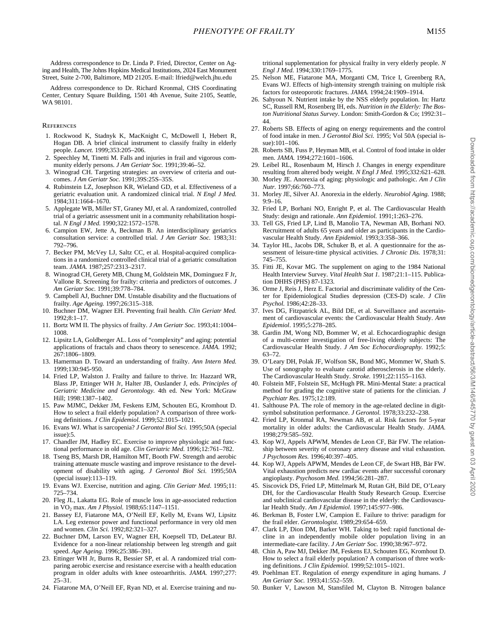Address correspondence to Dr. Linda P. Fried, Director, Center on Aging and Health, The Johns Hopkins Medical Institutions, 2024 East Monument Street, Suite 2-700, Baltimore, MD 21205. E-mail: lfried@welch.jhu.edu

Address correspondence to Dr. Richard Kronmal, CHS Coordinating Center, Century Square Building, 1501 4th Avenue, Suite 2105, Seattle, WA 98101.

#### **REFERENCES**

- 1. Rockwood K, Stadnyk K, MacKnight C, McDowell I, Hebert R, Hogan DB. A brief clinical instrument to classify frailty in elderly people. *Lancet.* 1999;353:205–206.
- 2. Speechley M, Tinetti M. Falls and injuries in frail and vigorous community elderly persons. *J Am Geriatr Soc.* 1991;39:46–52.
- 3. Winograd CH. Targeting strategies: an overview of criteria and outcomes. *J Am Geriatr Soc.* 1991;39S:25S–35S.
- 4. Rubinstein LZ, Josephson KR, Wieland GD, et al. Effectiveness of a geriatric evaluation unit. A randomized clinical trial. *N Engl J Med.* 1984;311:1664–1670.
- 5. Applegate WB, Miller ST, Graney MJ, et al. A randomized, controlled trial of a geriatric assessment unit in a community rehabilitation hospital. *N Engl J Med.* 1990;322:1572–1578.
- 6. Campion EW, Jette A, Beckman B. An interdisciplinary geriatrics consultation service: a controlled trial. *J Am Geriatr Soc.* 1983;31: 792–796.
- 7. Becker PM, McVey LJ, Saltz CC, et al. Hospital-acquired complications in a randomized controlled clinical trial of a geriatric consultation team. *JAMA.* 1987;257:2313–2317.
- 8. Winograd CH, Gerety MB, Chung M, Goldstein MK, Dominguez F Jr, Vallone R. Screening for frailty: criteria and predictors of outcomes. *J Am Geriatr Soc.* 1991;39:778–784.
- 9. Campbell AJ, Buchner DM. Unstable disability and the fluctuations of frailty. *Age Ageing.* 1997;26:315–318.
- 10. Buchner DM, Wagner EH. Preventing frail health. *Clin Geriatr Med.* 1992;8:1–17.
- 11. Bortz WM II. The physics of frailty. *J Am Geriatr Soc.* 1993;41:1004– 1008.
- 12. Lipsitz LA, Goldberger AL. Loss of "complexity" and aging: potential applications of fractals and chaos theory to senescence. *JAMA.* 1992; 267:1806–1809.
- 13. Hamerman D. Toward an understanding of frailty. *Ann Intern Med.* 1999;130:945-950.
- 14. Fried LP, Walston J. Frailty and failure to thrive. In: Hazzard WR, Blass JP, Ettinger WH Jr, Halter JB, Ouslander J, eds. *Principles of Geriatric Medicine and Gerontology.* 4th ed. New York: McGraw Hill; 1998:1387–1402.
- 15. Paw MJMC, Dekker JM, Feskens EJM, Schouten EG, Kromhout D. How to select a frail elderly population? A comparison of three working definitions. *J Clin Epidemiol.* 1999;52:1015–1021.
- 16. Evans WJ. What is sarcopenia? *J Gerontol Biol Sci.* 1995;50A (special issue):5.
- 17. Chandler JM, Hadley EC. Exercise to improve physiologic and functional performance in old age. *Clin Geriatric Med.* 1996;12:761–782.
- 18. Tseng BS, Marsh DR, Hamilton MT, Booth FW. Strength and aerobic training attenuate muscle wasting and improve resistance to the development of disability with aging. *J Gerontol Biol Sci.* 1995;50A (special issue):113–119.
- 19. Evans WJ. Exercise, nutrition and aging. *Clin Geriatr Med*. 1995;11: 725–734.
- 20. Fleg JL, Lakatta EG. Role of muscle loss in age-associated reduction in VO2 max. *Am J Physiol.* 1988;65:1147–1151.
- 21. Bassey EJ, Fiatarone MA, O'Neill EF, Kelly M, Evans WJ, Lipsitz LA. Leg extensor power and functional performance in very old men and women. *Clin Sci.* 1992;82:321–327.
- 22. Buchner DM, Larson EV, Wagner EH, Koepsell TD, DeLateur BJ. Evidence for a non-linear relationship between leg strength and gait speed. *Age Ageing.* 1996;25:386–391.
- 23. Ettinger WH Jr, Burns R, Bessier SP, et al. A randomized trial comparing aerobic exercise and resistance exercise with a health education program in older adults with knee osteoarthritis. *JAMA.* 1997;277: 25–31.
- 24. Fiatarone MA, O'Neill EF, Ryan ND, et al. Exercise training and nu-

tritional supplementation for physical frailty in very elderly people. *N Engl J Med.* 1994;330:1769–1775.

- 25. Nelson ME, Fiatarone MA, Morganti CM, Trice I, Greenberg RA, Evans WJ. Effects of high-intensity strength training on multiple risk factors for osteoporotic fractures. *JAMA.* 1994;24:1909–1914.
- 26. Sahyoun N. Nutrient intake by the NSS elderly population. In: Hartz SC, Russell RM, Rosenberg IH, eds. *Nutrition in the Elderly: The Boston Nutritional Status Survey*. London: Smith-Gordon & Co; 1992:31– 44.
- 27. Roberts SB. Effects of aging on energy requirements and the control of food intake in men. *J Gerontol Biol Sci.* 1995; Vol 50A (special issue):101–106.
- 28. Roberts SB, Fuss P, Heyman MB, et al. Control of food intake in older men. *JAMA.* 1994;272:1601–1606.
- 29. Leibel RL, Rosenbaum M, Hirsch J. Changes in energy expenditure resulting from altered body weight. *N Engl J Med.* 1995;332:621–628.
- 30. Morley JE. Anorexia of aging: physiologic and pathologic. *Am J Clin Nutr.* 1997;66:760–773.
- 31. Morley JE, Silver AJ. Anorexia in the elderly. *Neurobiol Aging.* 1988;  $9:9-16.$
- 32. Fried LP, Borhani NO, Enright P, et al. The Cardiovascular Health Study: design and rationale. *Ann Epidemiol.* 1991;1:263–276.
- 33. Tell GS, Fried LP, Lind B, Manolio TA, Newman AB, Borhani NO. Recruitment of adults 65 years and older as participants in the Cardiovascular Health Study. *Ann Epidemiol.* 1993;3:358–366.
- 34. Taylor HL, Jacobs DR, Schuker B, et al. A questionnaire for the assessment of leisure-time physical activities. *J Chronic Dis.* 1978;31: 745–755.
- 35. Fitti JE, Kovar MG. The supplement on aging to the 1984 National Health Interview Survey. *Vital Health Stat 1.* 1987;21:1–115. Publication DHHS (PHS) 87-1323.
- 36. Orme J, Reis J, Herz E. Factorial and discriminate validity of the Center for Epidemiological Studies depression (CES-D) scale. *J Clin Psychol.* 1986;42:28–33.
- 37. Ives DG, Fitzpatrick AL, Bild DE, et al. Surveillance and ascertainment of cardiovascular events: the Cardiovascular Health Study. *Ann Epidemiol*. 1995;5:278–285.
- 38. Gardin JM, Wong ND, Bommer W, et al. Echocardiographic design of a multi-center investigation of free-living elderly subjects: The Cardiovascular Health Study. *J Am Soc Echocardiography.* 1992;5: 63–72.
- 39. O'Leary DH, Polak JF, Wolfson SK, Bond MG, Mommer W, Shath S. Use of sonography to evaluate carotid atherosclerosis in the elderly. The Cardiovascular Health Study. *Stroke.* 1991;22:1155–1163.
- 40. Folstein MF, Folstein SE, McHugh PR. Mini-Mental State: a practical method for grading the cognitive state of patients for the clinician. *J Psychiatr Res.* 1975;12:189.
- 41. Salthouse PA. The role of memory in the age-related decline in digitsymbol substitution performance. *J Gerontol.* 1978;33:232–238.
- 42. Fried LP, Kronmal RA, Newman AB, et al. Risk factors for 5-year mortality in older adults: the Cardiovascular Health Study. *JAMA.* 1998;279:585–592.
- 43. Kop WJ, Appels APWM, Mendes de Leon CF, Bär FW. The relationship between severity of coronary artery disease and vital exhaustion. *J Psychosom Res.* 1996;40:397–405.
- 44. Kop WJ, Appels APWM, Mendes de Leon CF, de Swart HB, Bär FW. Vital exhaustion predicts new cardiac events after successful coronary angioplasty. *Psychosom Med.* 1994;56:281–287.
- 45. Siscovick DS, Fried LP, Mittelmark M, Rutan GH, Bild DE, O'Leary DH, for the Cardiovascular Health Study Research Group. Exercise and subclinical cardiovascular disease in the elderly: the Cardiovascular Health Study. *Am J Epidemiol.* 1997;145:977–986.
- 46. Berkman B, Foster LW, Campion E. Failure to thrive: paradigm for the frail elder. *Gerontologist.* 1989;29:654–659.
- 47. Clark LP, Dion DM, Barker WH. Taking to bed: rapid functional decline in an independently mobile older population living in an intermediate-care facility. *J Am Geriatr Soc.* 1990;38:967–972.
- 48. Chin A, Paw MJ, Dekker JM, Feskens EJ, Schouten EG, Kromhout D. How to select a frail elderly population? A comparison of three working definitions. *J Clin Epidemiol.* 1999;52:1015–1021.
- 49. Poehlman ET. Regulation of energy expenditure in aging humans. *J Am Geriatr Soc.* 1993;41:552–559.
- 50. Bunker V, Lawson M, Stansfiled M, Clayton B. Nitrogen balance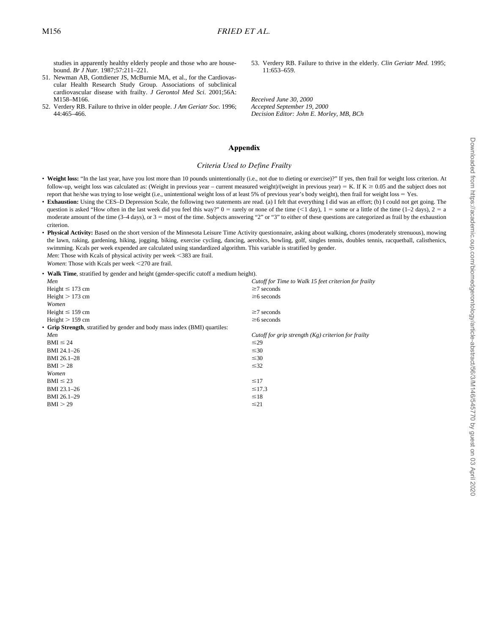studies in apparently healthy elderly people and those who are housebound. *Br J Nutr.* 1987;57:211–221.

- 51. Newman AB, Gottdiener JS, McBurnie MA, et al., for the Cardiovascular Health Research Study Group. Associations of subclinical cardiovascular disease with frailty. *J Gerontol Med Sci.* 2001;56A: M158–M166.
- 52. Verdery RB. Failure to thrive in older people. *J Am Geriatr Soc.* 1996; 44:465–466.
- 53. Verdery RB. Failure to thrive in the elderly. *Clin Geriatr Med.* 1995; 11:653–659.

*Received June 30, 2000 Accepted September 19, 2000 Decision Editor: John E. Morley, MB, BCh*

## **Appendix**

### *Criteria Used to Define Frailty*

- **Weight loss:** "In the last year, have you lost more than 10 pounds unintentionally (i.e., not due to dieting or exercise)?" If yes, then frail for weight loss criterion. At follow-up, weight loss was calculated as: (Weight in previous year – current measured weight)/(weight in previous year) = K. If  $K \ge 0.05$  and the subject does not report that he/she was trying to lose weight (i.e., unintentional weight loss of at least 5% of previous year's body weight), then frail for weight loss = Yes.
- **Exhaustion:** Using the CES–D Depression Scale, the following two statements are read. (a) I felt that everything I did was an effort; (b) I could not get going. The question is asked "How often in the last week did you feel this way?"  $0 =$  rarely or none of the time (<1 day),  $1 =$  some or a little of the time (1–2 days),  $2 =$  a moderate amount of the time  $(3-4 \text{ days})$ , or  $3 = \text{most of the time}$ . Subjects answering "2" or "3" to either of these questions are categorized as frail by the exhaustion criterion.
- Physical Activity: Based on the short version of the Minnesota Leisure Time Activity questionnaire, asking about walking, chores (moderately strenuous), mowing the lawn, raking, gardening, hiking, jogging, biking, exercise cycling, dancing, aerobics, bowling, golf, singles tennis, doubles tennis, racquetball, calisthenics, swimming. Kcals per week expended are calculated using standardized algorithm. This variable is stratified by gender. *Men*: Those with Kcals of physical activity per week <383 are frail.

*Women*: Those with Kcals per week <270 are frail.

• **Walk Time**, stratified by gender and height (gender-specific cutoff a medium height).

| Men                                                                        | Cutoff for Time to Walk 15 feet criterion for frailty |
|----------------------------------------------------------------------------|-------------------------------------------------------|
| Height $\leq 173$ cm                                                       | $\geq$ 7 seconds                                      |
| Height $> 173$ cm                                                          | $\geq$ 6 seconds                                      |
| Women                                                                      |                                                       |
| Height $\leq 159$ cm                                                       | $\geq$ 7 seconds                                      |
| Height $> 159$ cm                                                          | $\geq$ 6 seconds                                      |
| • Grip Strength, stratified by gender and body mass index (BMI) quartiles: |                                                       |
| Men                                                                        | Cutoff for grip strength $(Kg)$ criterion for frailty |
| $BMI \leq 24$                                                              | $\leq$ 29                                             |
| BMI 24.1-26                                                                | $\leq 30$                                             |
| BMI 26.1-28                                                                | $\leq 30$                                             |
| BMI > 28                                                                   | $\leq 32$                                             |
| Women                                                                      |                                                       |
| $BMI \leq 23$                                                              | $\leq 17$                                             |
| BMI 23.1-26                                                                | $\leq$ 17.3                                           |
| BMI 26.1-29                                                                | $\leq 18$                                             |
| BMI > 29                                                                   | $\leq 21$                                             |
|                                                                            |                                                       |